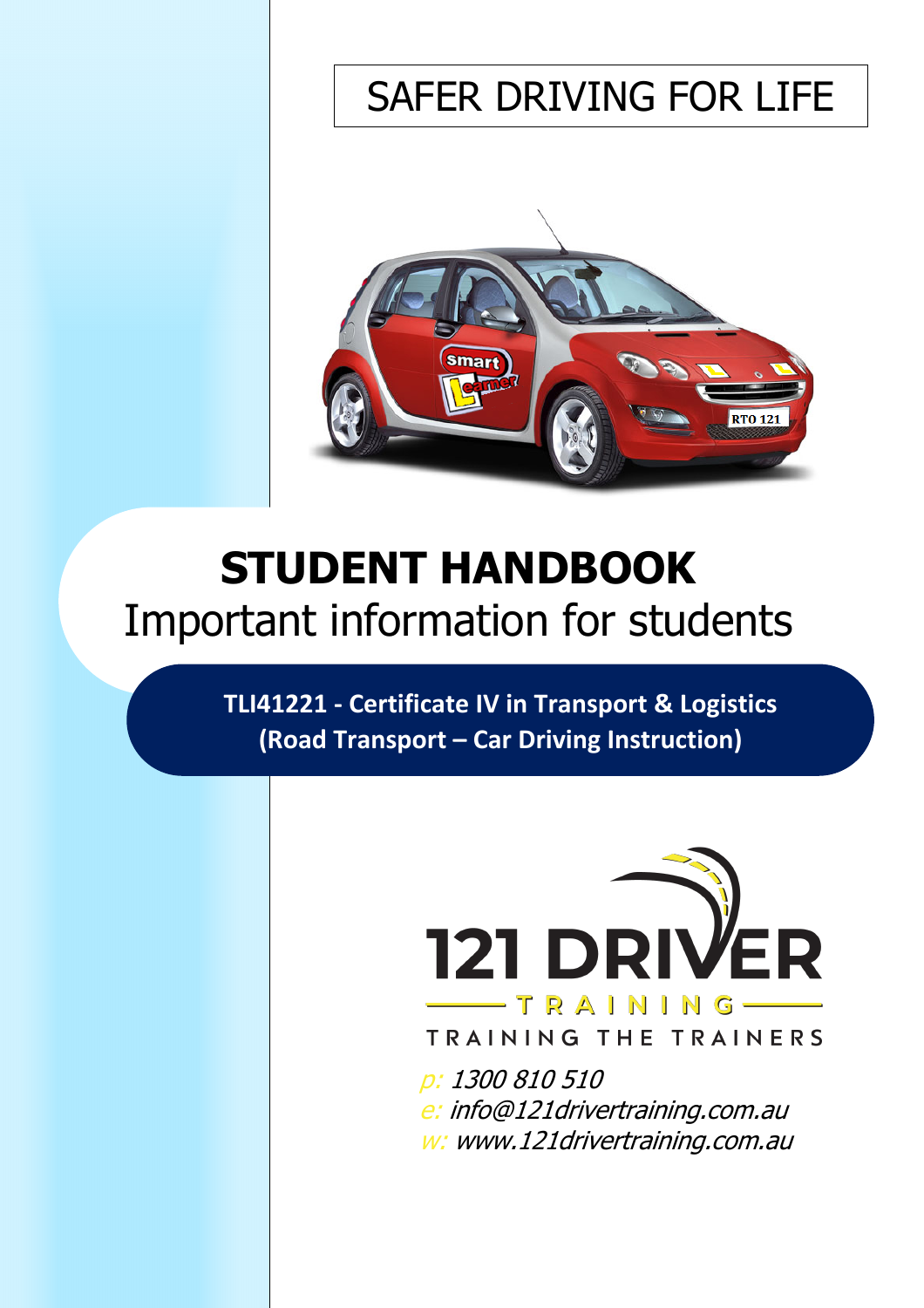# SAFER DRIVING FOR LIFE



# **STUDENT HANDBOOK** Important information for students

**TLI41221 - Certificate IV in Transport & Logistics (Road Transport – Car Driving Instruction)**



TRAINING THE TRAINERS

p: 1300 810 510 e: info@121drivertraining.com.au w: www.121drivertraining.com.au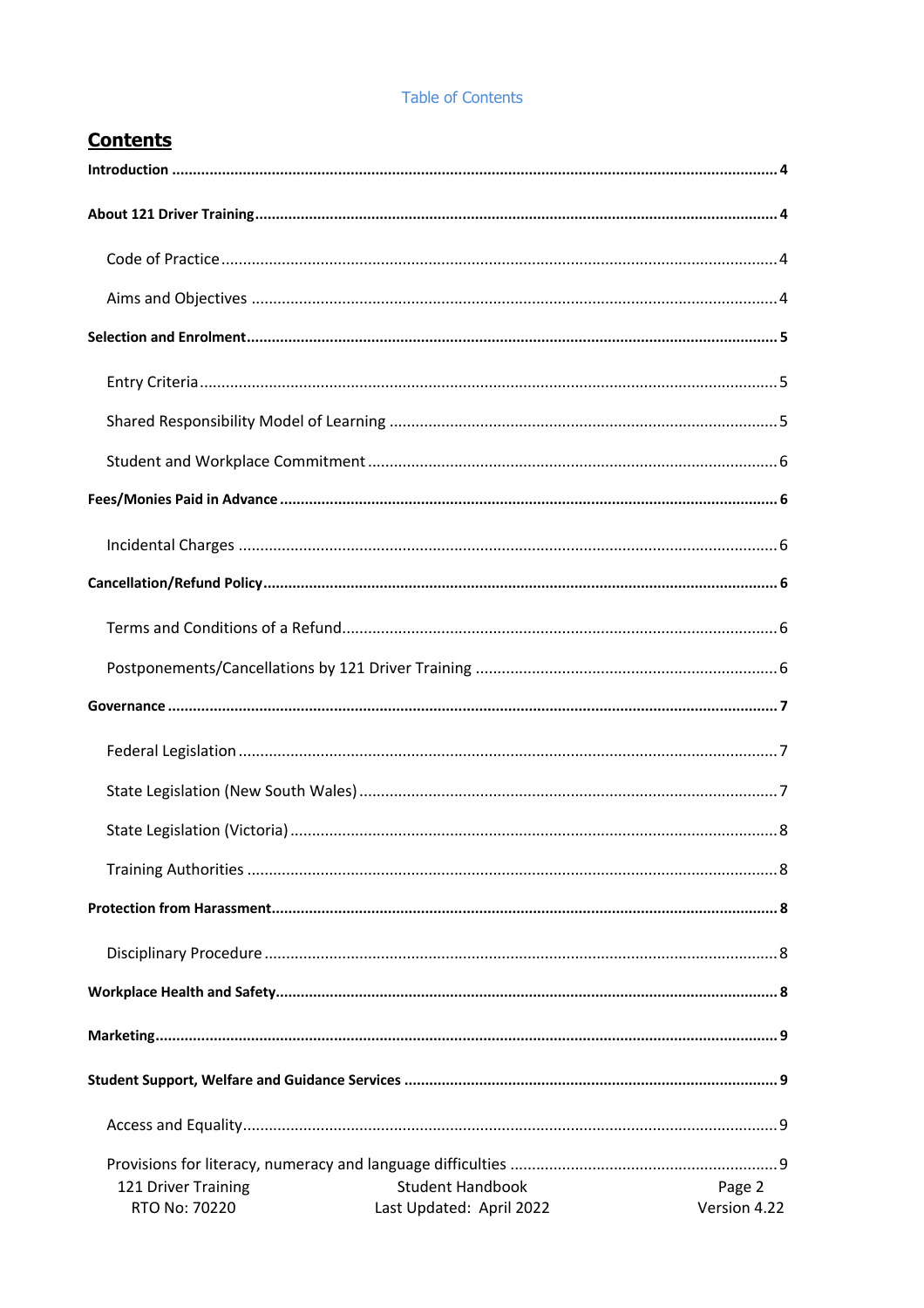## **Table of Contents**

# **Contents**

| 121 Driver Training | <b>Student Handbook</b>  | Page 2       |
|---------------------|--------------------------|--------------|
| RTO No: 70220       | Last Updated: April 2022 | Version 4.22 |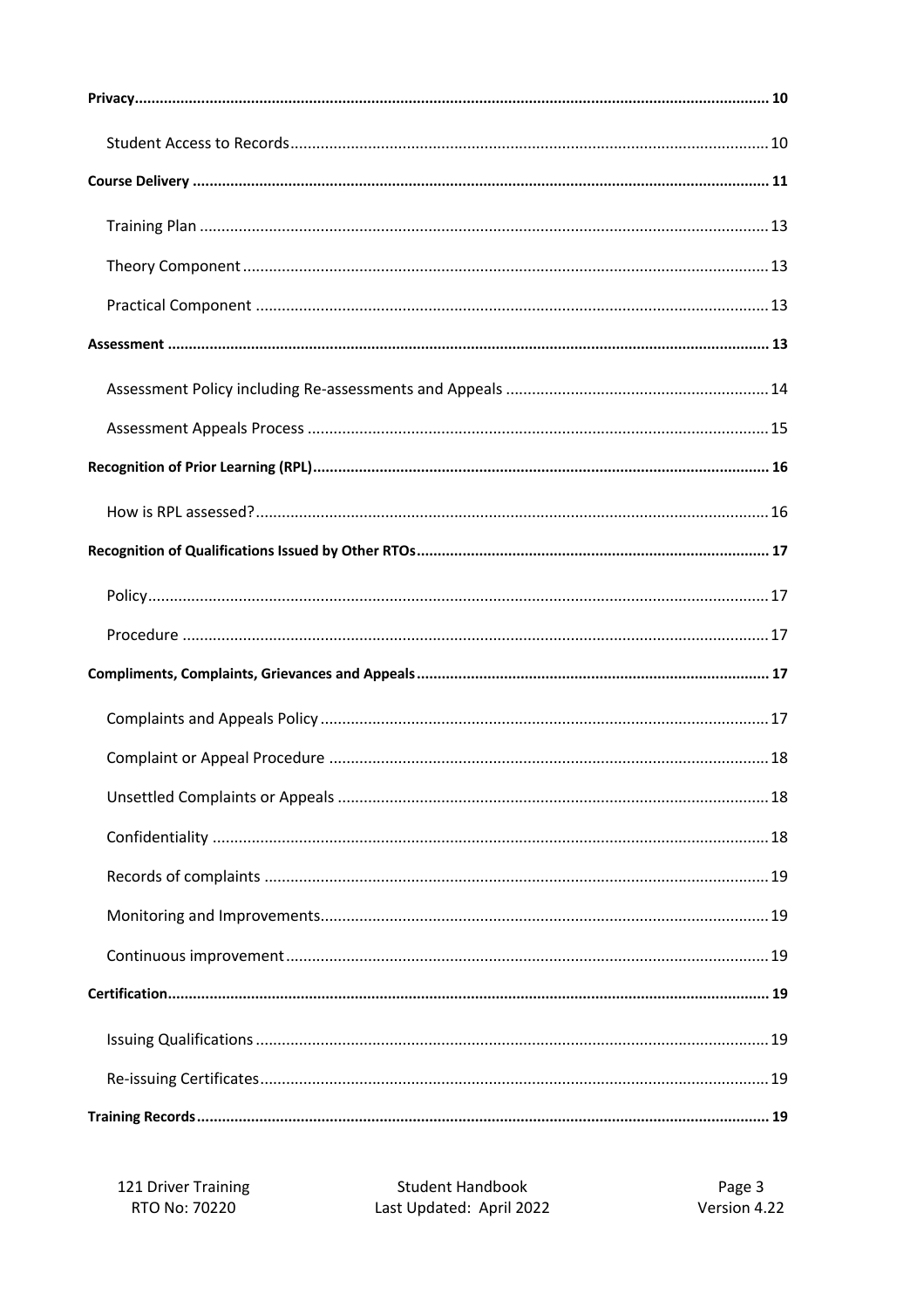121 Driver Training RTO No: 70220

**Student Handbook** Last Updated: April 2022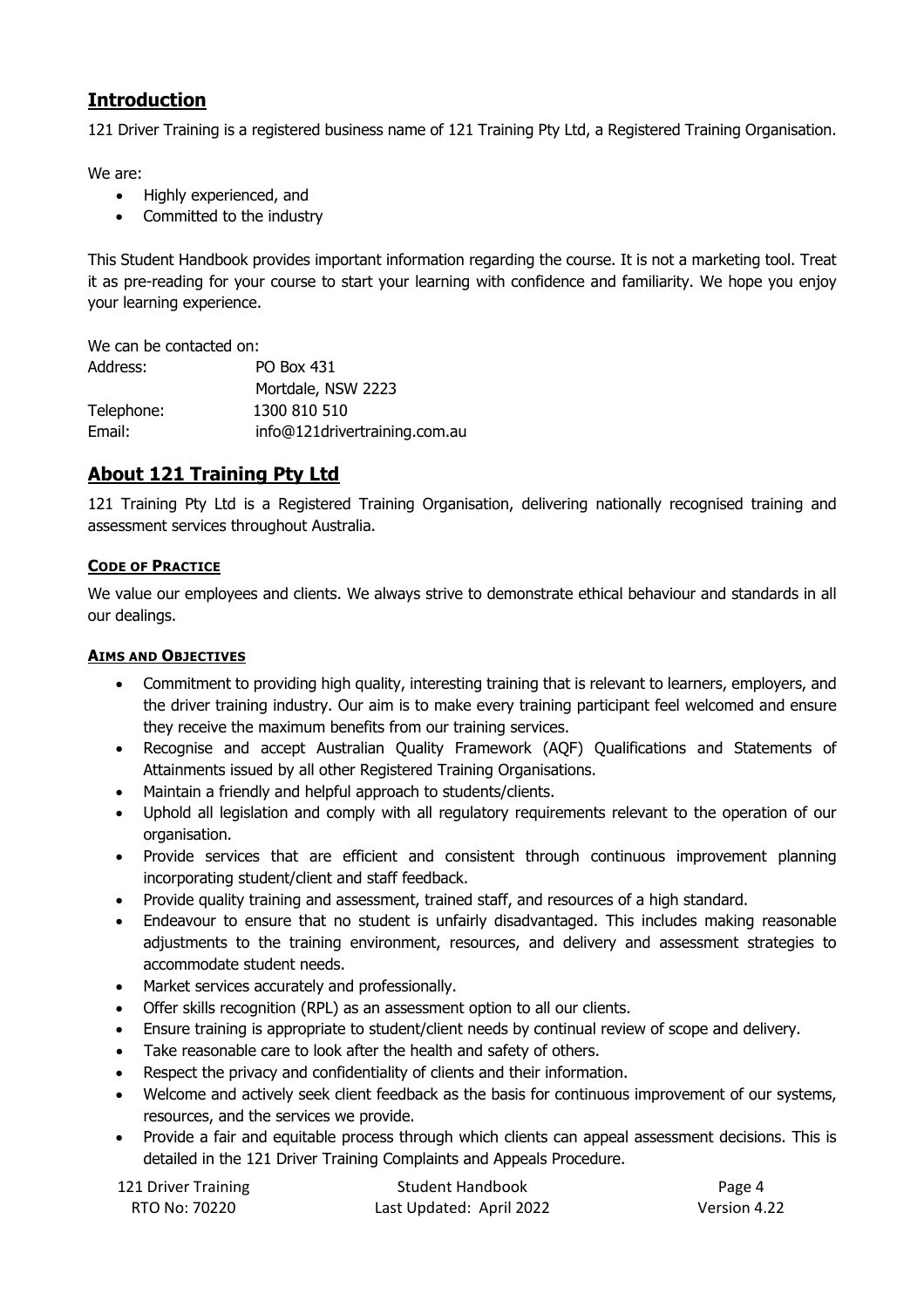# **Introduction**

121 Driver Training is a registered business name of 121 Training Pty Ltd, a Registered Training Organisation.

We are:

- Highly experienced, and
- Committed to the industry

This Student Handbook provides important information regarding the course. It is not a marketing tool. Treat it as pre-reading for your course to start your learning with confidence and familiarity. We hope you enjoy your learning experience.

We can be contacted on: Address: PO Box 431 Mortdale, NSW 2223 Telephone: 1300 810 510 Email: info@121drivertraining.com.au

# **About 121 Training Pty Ltd**

121 Training Pty Ltd is a Registered Training Organisation, delivering nationally recognised training and assessment services throughout Australia.

## **CODE OF PRACTICE**

We value our employees and clients. We always strive to demonstrate ethical behaviour and standards in all our dealings.

## **AIMS AND OBJECTIVES**

- Commitment to providing high quality, interesting training that is relevant to learners, employers, and the driver training industry. Our aim is to make every training participant feel welcomed and ensure they receive the maximum benefits from our training services.
- Recognise and accept Australian Quality Framework (AQF) Qualifications and Statements of Attainments issued by all other Registered Training Organisations.
- Maintain a friendly and helpful approach to students/clients.
- Uphold all legislation and comply with all regulatory requirements relevant to the operation of our organisation.
- Provide services that are efficient and consistent through continuous improvement planning incorporating student/client and staff feedback.
- Provide quality training and assessment, trained staff, and resources of a high standard.
- Endeavour to ensure that no student is unfairly disadvantaged. This includes making reasonable adjustments to the training environment, resources, and delivery and assessment strategies to accommodate student needs.
- Market services accurately and professionally.
- Offer skills recognition (RPL) as an assessment option to all our clients.
- Ensure training is appropriate to student/client needs by continual review of scope and delivery.
- Take reasonable care to look after the health and safety of others.
- Respect the privacy and confidentiality of clients and their information.
- Welcome and actively seek client feedback as the basis for continuous improvement of our systems, resources, and the services we provide.
- Provide a fair and equitable process through which clients can appeal assessment decisions. This is detailed in the 121 Driver Training Complaints and Appeals Procedure.

| 121 Driver Training | <b>Student Handbook</b>  | Page 4       |
|---------------------|--------------------------|--------------|
| RTO No: 70220       | Last Updated: April 2022 | Version 4.22 |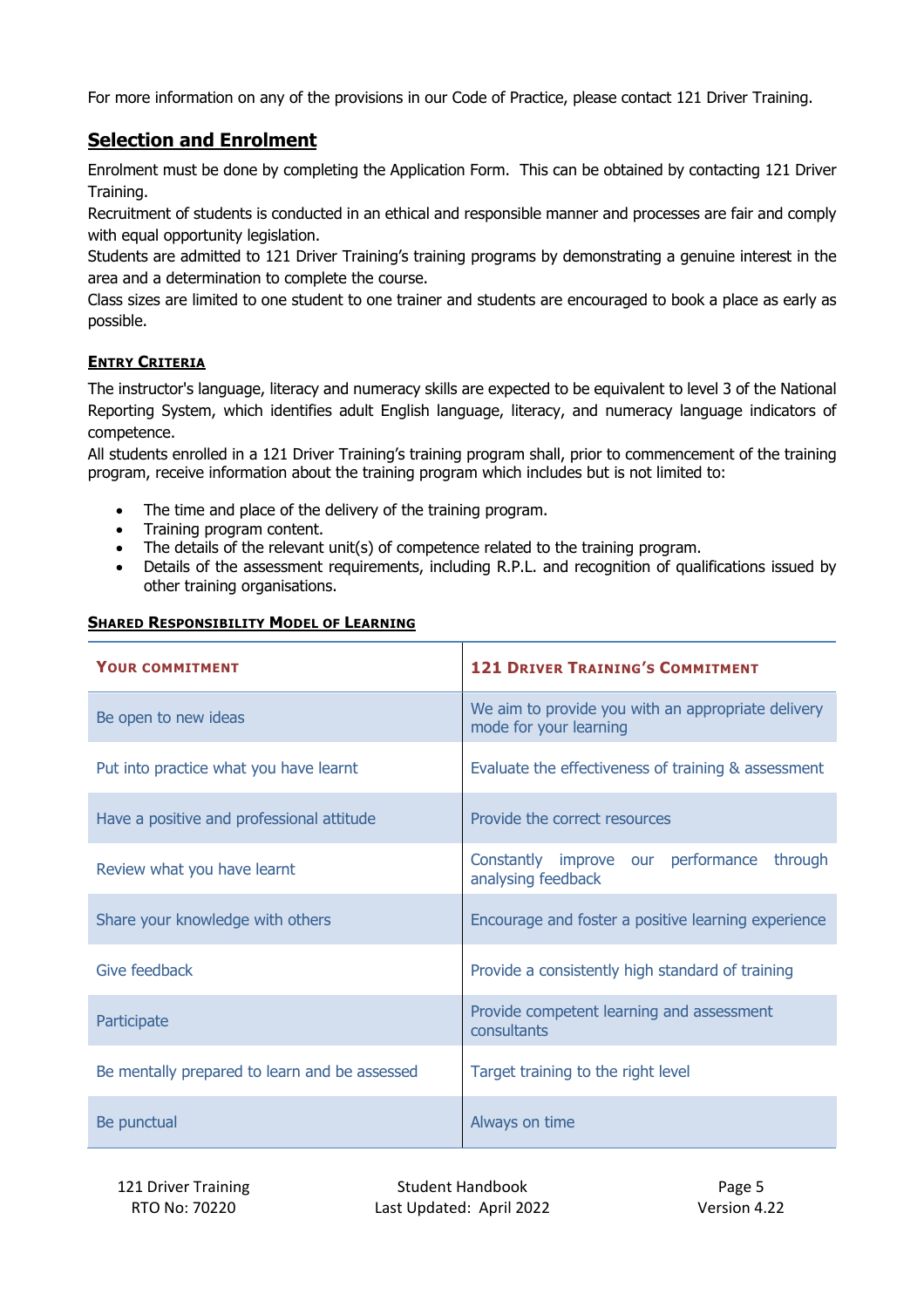For more information on any of the provisions in our Code of Practice, please contact 121 Driver Training.

# **Selection and Enrolment**

Enrolment must be done by completing the Application Form. This can be obtained by contacting 121 Driver Training.

Recruitment of students is conducted in an ethical and responsible manner and processes are fair and comply with equal opportunity legislation.

Students are admitted to 121 Driver Training's training programs by demonstrating a genuine interest in the area and a determination to complete the course.

Class sizes are limited to one student to one trainer and students are encouraged to book a place as early as possible.

## **ENTRY CRITERIA**

The instructor's language, literacy and numeracy skills are expected to be equivalent to level 3 of the National Reporting System, which identifies adult English language, literacy, and numeracy language indicators of competence.

All students enrolled in a 121 Driver Training's training program shall, prior to commencement of the training program, receive information about the training program which includes but is not limited to:

- The time and place of the delivery of the training program.
- Training program content.
- The details of the relevant unit(s) of competence related to the training program.
- Details of the assessment requirements, including R.P.L. and recognition of qualifications issued by other training organisations.

| <b>YOUR COMMITMENT</b>                        | <b>121 DRIVER TRAINING'S COMMITMENT</b>                                      |
|-----------------------------------------------|------------------------------------------------------------------------------|
| Be open to new ideas                          | We aim to provide you with an appropriate delivery<br>mode for your learning |
| Put into practice what you have learnt        | Evaluate the effectiveness of training & assessment                          |
| Have a positive and professional attitude     | Provide the correct resources                                                |
| Review what you have learnt                   | Constantly improve our performance through<br>analysing feedback             |
| Share your knowledge with others              | Encourage and foster a positive learning experience                          |
| Give feedback                                 | Provide a consistently high standard of training                             |
| Participate                                   | Provide competent learning and assessment<br>consultants                     |
| Be mentally prepared to learn and be assessed | Target training to the right level                                           |
| Be punctual                                   | Always on time                                                               |

#### **SHARED RESPONSIBILITY MODEL OF LEARNING**

121 Driver Training Training Student Handbook **Page 5** Page 5 RTO No: 70220 Last Updated: April 2022 Version 4.22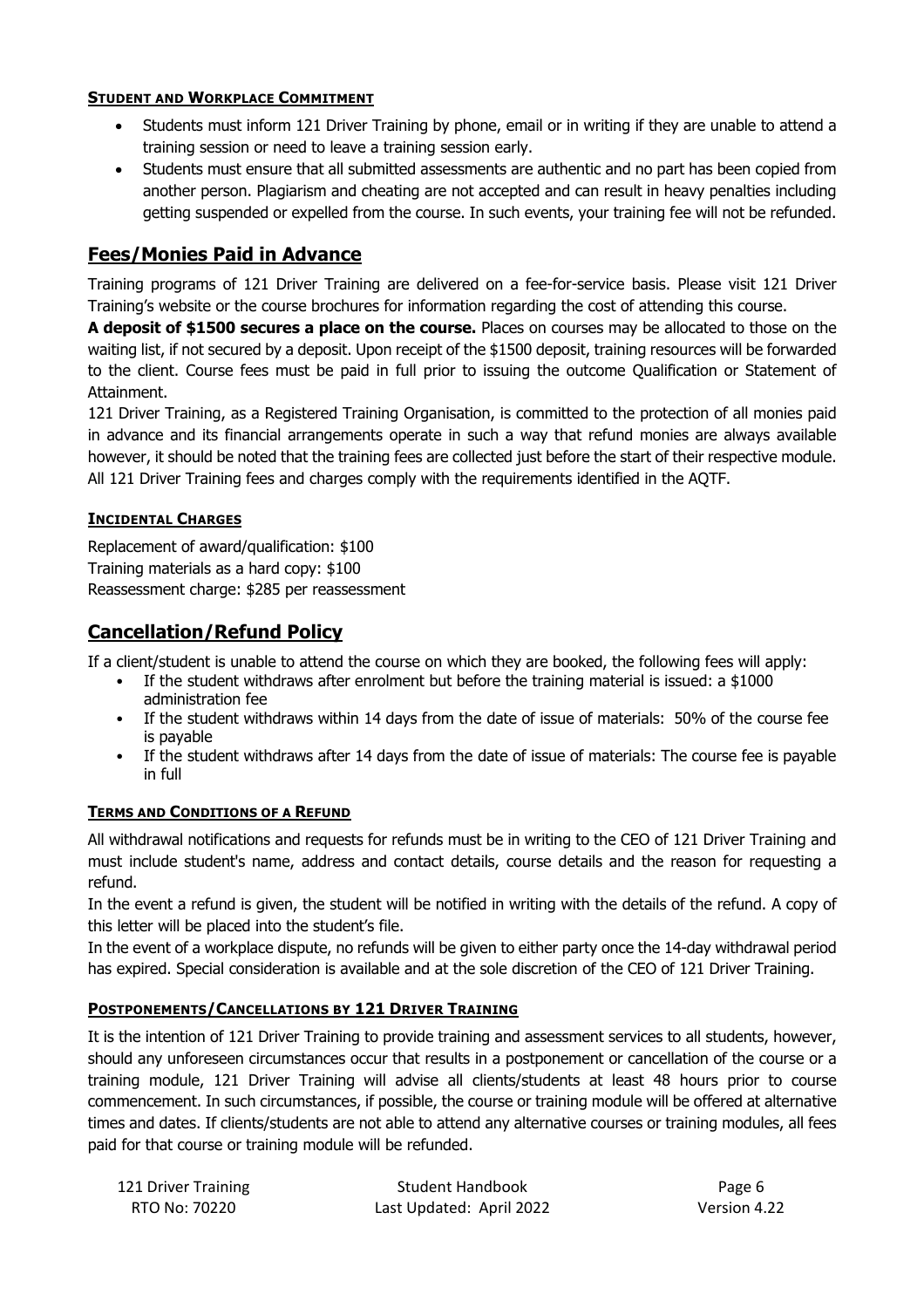## **STUDENT AND WORKPLACE COMMITMENT**

- Students must inform 121 Driver Training by phone, email or in writing if they are unable to attend a training session or need to leave a training session early.
- Students must ensure that all submitted assessments are authentic and no part has been copied from another person. Plagiarism and cheating are not accepted and can result in heavy penalties including getting suspended or expelled from the course. In such events, your training fee will not be refunded.

# **Fees/Monies Paid in Advance**

Training programs of 121 Driver Training are delivered on a fee-for-service basis. Please visit 121 Driver Training's website or the course brochures for information regarding the cost of attending this course.

**A deposit of \$1500 secures a place on the course.** Places on courses may be allocated to those on the waiting list, if not secured by a deposit. Upon receipt of the \$1500 deposit, training resources will be forwarded to the client. Course fees must be paid in full prior to issuing the outcome Qualification or Statement of Attainment.

121 Driver Training, as a Registered Training Organisation, is committed to the protection of all monies paid in advance and its financial arrangements operate in such a way that refund monies are always available however, it should be noted that the training fees are collected just before the start of their respective module. All 121 Driver Training fees and charges comply with the requirements identified in the AQTF.

## **INCIDENTAL CHARGES**

Replacement of award/qualification: \$100 Training materials as a hard copy: \$100 Reassessment charge: \$285 per reassessment

# **Cancellation/Refund Policy**

If a client/student is unable to attend the course on which they are booked, the following fees will apply:

- If the student withdraws after enrolment but before the training material is issued: a \$1000 administration fee
- If the student withdraws within 14 days from the date of issue of materials: 50% of the course fee is payable
- If the student withdraws after 14 days from the date of issue of materials: The course fee is payable in full

## **TERMS AND CONDITIONS OF A REFUND**

All withdrawal notifications and requests for refunds must be in writing to the CEO of 121 Driver Training and must include student's name, address and contact details, course details and the reason for requesting a refund.

In the event a refund is given, the student will be notified in writing with the details of the refund. A copy of this letter will be placed into the student's file.

In the event of a workplace dispute, no refunds will be given to either party once the 14-day withdrawal period has expired. Special consideration is available and at the sole discretion of the CEO of 121 Driver Training.

## **POSTPONEMENTS/CANCELLATIONS BY 121 DRIVER TRAINING**

It is the intention of 121 Driver Training to provide training and assessment services to all students, however, should any unforeseen circumstances occur that results in a postponement or cancellation of the course or a training module, 121 Driver Training will advise all clients/students at least 48 hours prior to course commencement. In such circumstances, if possible, the course or training module will be offered at alternative times and dates. If clients/students are not able to attend any alternative courses or training modules, all fees paid for that course or training module will be refunded.

| 121 Driver Training | <b>Student Handbook</b>  | Page 6       |
|---------------------|--------------------------|--------------|
| RTO No: 70220       | Last Updated: April 2022 | Version 4.22 |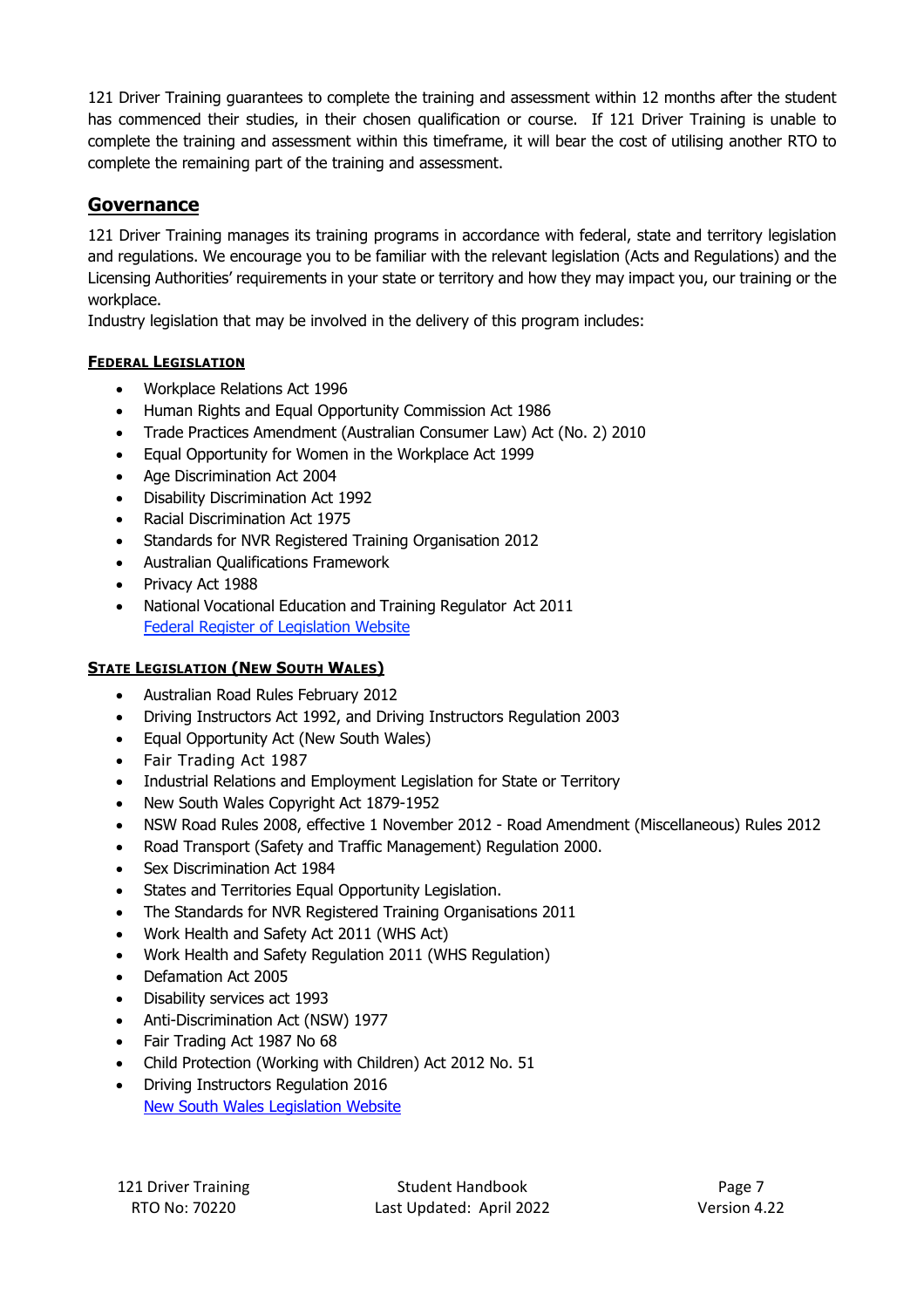121 Driver Training guarantees to complete the training and assessment within 12 months after the student has commenced their studies, in their chosen qualification or course. If 121 Driver Training is unable to complete the training and assessment within this timeframe, it will bear the cost of utilising another RTO to complete the remaining part of the training and assessment.

# **Governance**

121 Driver Training manages its training programs in accordance with federal, state and territory legislation and regulations. We encourage you to be familiar with the relevant legislation (Acts and Regulations) and the Licensing Authorities' requirements in your state or territory and how they may impact you, our training or the workplace.

Industry legislation that may be involved in the delivery of this program includes:

## **FEDERAL LEGISLATION**

- Workplace Relations Act 1996
- Human Rights and Equal Opportunity Commission Act 1986
- Trade Practices Amendment (Australian Consumer Law) Act (No. 2) 2010
- Equal Opportunity for Women in the Workplace Act 1999
- Age Discrimination Act 2004
- Disability Discrimination Act 1992
- Racial Discrimination Act 1975
- Standards for NVR Registered Training Organisation 2012
- Australian Qualifications Framework
- Privacy Act 1988
- National Vocational Education and Training Regulator Act 2011 Federal Register of Legislation Website

## **STATE LEGISLATION (NEW SOUTH WALES)**

- Australian Road Rules February 2012
- Driving Instructors Act 1992, and Driving Instructors Regulation 2003
- Equal Opportunity Act (New South Wales)
- Fair Trading Act 1987
- Industrial Relations and Employment Legislation for State or Territory
- New South Wales Copyright Act 1879-1952
- NSW Road Rules 2008, effective 1 November 2012 Road Amendment (Miscellaneous) Rules 2012
- Road Transport (Safety and Traffic Management) Regulation 2000.
- Sex Discrimination Act 1984
- States and Territories Equal Opportunity Legislation.
- The Standards for NVR Registered Training Organisations 2011
- Work Health and Safety Act 2011 (WHS Act)
- Work Health and Safety Regulation 2011 (WHS Regulation)
- Defamation Act 2005
- Disability services act 1993
- Anti-Discrimination Act (NSW) 1977
- Fair Trading Act 1987 No 68
- Child Protection (Working with Children) Act 2012 No. 51
- Driving Instructors Regulation 2016 New South Wales Legislation Website

121 Driver Training Training Student Handbook **Page 7** Page 7 RTO No: 70220 Last Updated: April 2022 Version 4.22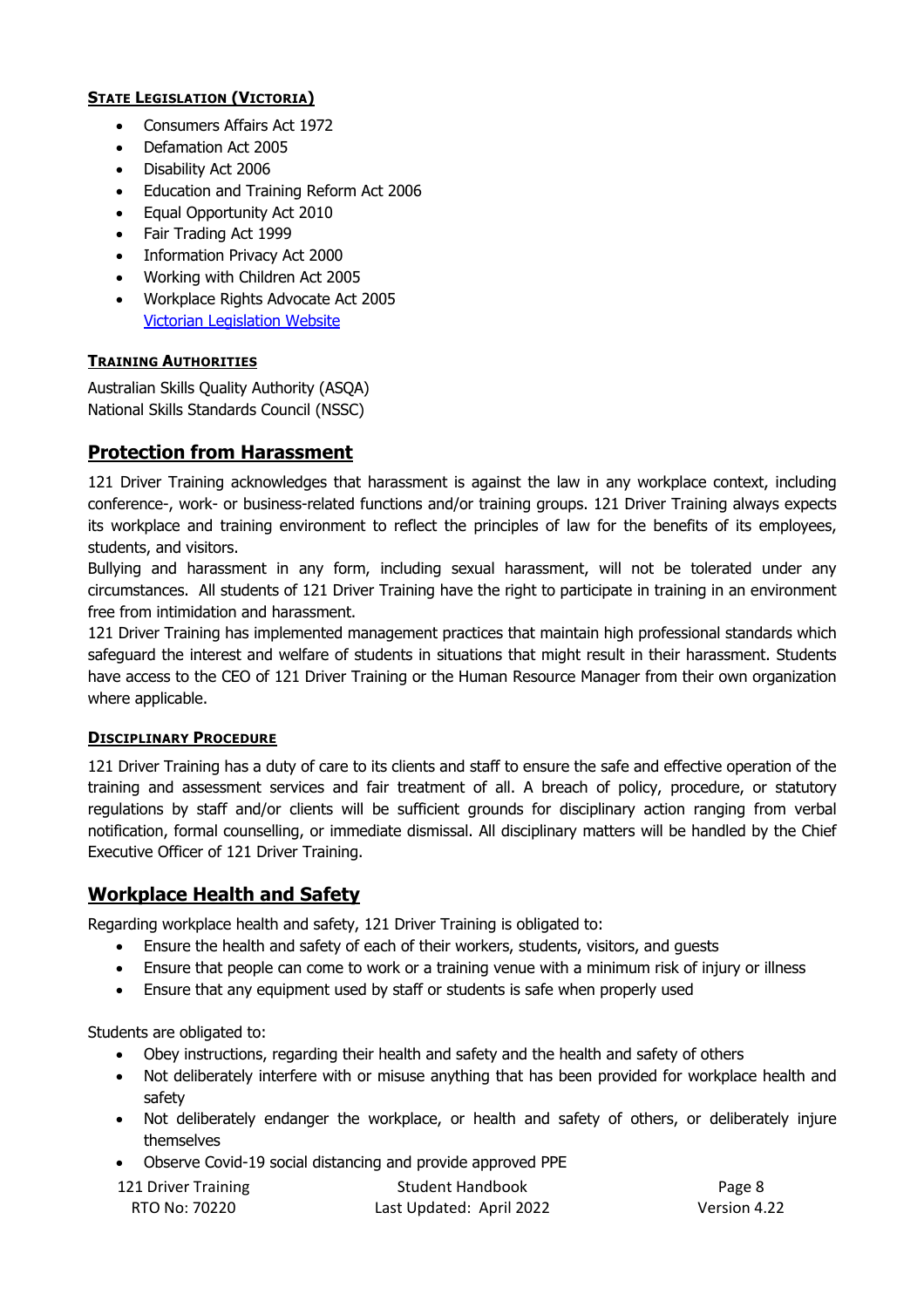## **STATE LEGISLATION (VICTORIA)**

- Consumers Affairs Act 1972
- Defamation Act 2005
- Disability Act 2006
- Education and Training Reform Act 2006
- Equal Opportunity Act 2010
- Fair Trading Act 1999
- Information Privacy Act 2000
- Working with Children Act 2005
- Workplace Rights Advocate Act 2005 Victorian Legislation Website

## **TRAINING AUTHORITIES**

Australian Skills Quality Authority (ASQA) National Skills Standards Council (NSSC)

## **Protection from Harassment**

121 Driver Training acknowledges that harassment is against the law in any workplace context, including conference-, work- or business-related functions and/or training groups. 121 Driver Training always expects its workplace and training environment to reflect the principles of law for the benefits of its employees, students, and visitors.

Bullying and harassment in any form, including sexual harassment, will not be tolerated under any circumstances. All students of 121 Driver Training have the right to participate in training in an environment free from intimidation and harassment.

121 Driver Training has implemented management practices that maintain high professional standards which safeguard the interest and welfare of students in situations that might result in their harassment. Students have access to the CEO of 121 Driver Training or the Human Resource Manager from their own organization where applicable.

## **DISCIPLINARY PROCEDURE**

121 Driver Training has a duty of care to its clients and staff to ensure the safe and effective operation of the training and assessment services and fair treatment of all. A breach of policy, procedure, or statutory regulations by staff and/or clients will be sufficient grounds for disciplinary action ranging from verbal notification, formal counselling, or immediate dismissal. All disciplinary matters will be handled by the Chief Executive Officer of 121 Driver Training.

## **Workplace Health and Safety**

Regarding workplace health and safety, 121 Driver Training is obligated to:

- Ensure the health and safety of each of their workers, students, visitors, and guests
- Ensure that people can come to work or a training venue with a minimum risk of injury or illness
- Ensure that any equipment used by staff or students is safe when properly used

Students are obligated to:

- Obey instructions, regarding their health and safety and the health and safety of others
- Not deliberately interfere with or misuse anything that has been provided for workplace health and safety
- Not deliberately endanger the workplace, or health and safety of others, or deliberately injure themselves
- Observe Covid-19 social distancing and provide approved PPE

| 121 Driver Training | <b>Student Handbook</b>  | Page 8       |
|---------------------|--------------------------|--------------|
| RTO No: 70220       | Last Updated: April 2022 | Version 4.22 |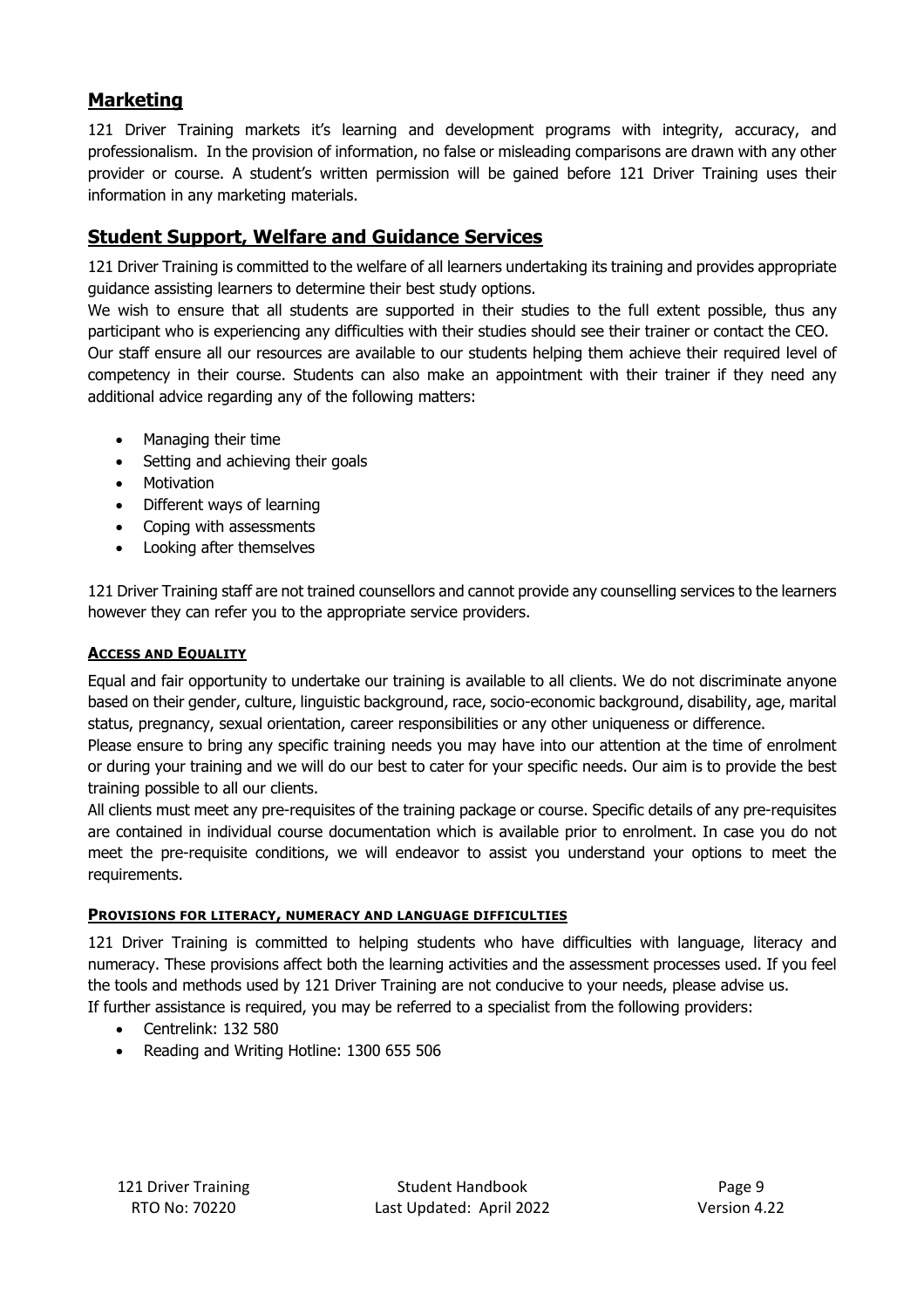# **Marketing**

121 Driver Training markets it's learning and development programs with integrity, accuracy, and professionalism. In the provision of information, no false or misleading comparisons are drawn with any other provider or course. A student's written permission will be gained before 121 Driver Training uses their information in any marketing materials.

# **Student Support, Welfare and Guidance Services**

121 Driver Training is committed to the welfare of all learners undertaking its training and provides appropriate guidance assisting learners to determine their best study options.

We wish to ensure that all students are supported in their studies to the full extent possible, thus any participant who is experiencing any difficulties with their studies should see their trainer or contact the CEO. Our staff ensure all our resources are available to our students helping them achieve their required level of competency in their course. Students can also make an appointment with their trainer if they need any additional advice regarding any of the following matters:

- Managing their time
- Setting and achieving their goals
- Motivation
- Different ways of learning
- Coping with assessments
- Looking after themselves

121 Driver Training staff are not trained counsellors and cannot provide any counselling services to the learners however they can refer you to the appropriate service providers.

#### **ACCESS AND EQUALITY**

Equal and fair opportunity to undertake our training is available to all clients. We do not discriminate anyone based on their gender, culture, linguistic background, race, socio-economic background, disability, age, marital status, pregnancy, sexual orientation, career responsibilities or any other uniqueness or difference.

Please ensure to bring any specific training needs you may have into our attention at the time of enrolment or during your training and we will do our best to cater for your specific needs. Our aim is to provide the best training possible to all our clients.

All clients must meet any pre-requisites of the training package or course. Specific details of any pre-requisites are contained in individual course documentation which is available prior to enrolment. In case you do not meet the pre-requisite conditions, we will endeavor to assist you understand your options to meet the requirements.

#### **PROVISIONS FOR LITERACY, NUMERACY AND LANGUAGE DIFFICULTIES**

121 Driver Training is committed to helping students who have difficulties with language, literacy and numeracy. These provisions affect both the learning activities and the assessment processes used. If you feel the tools and methods used by 121 Driver Training are not conducive to your needs, please advise us. If further assistance is required, you may be referred to a specialist from the following providers:

- Centrelink: 132 580
- Reading and Writing Hotline: 1300 655 506

121 Driver Training Training Student Handbook Page 9 RTO No: 70220 Last Updated: April 2022 Version 4.22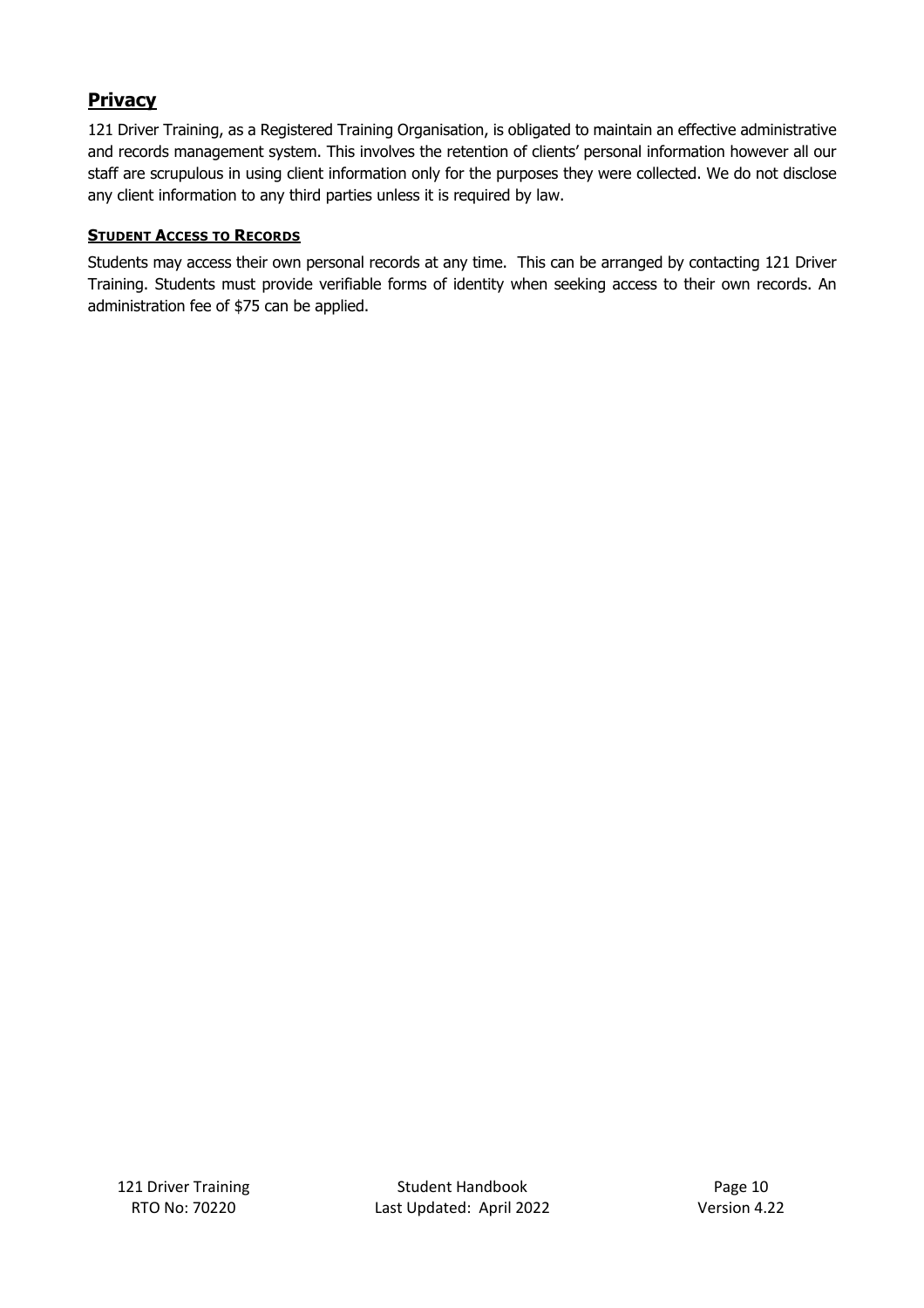# **Privacy**

121 Driver Training, as a Registered Training Organisation, is obligated to maintain an effective administrative and records management system. This involves the retention of clients' personal information however all our staff are scrupulous in using client information only for the purposes they were collected. We do not disclose any client information to any third parties unless it is required by law.

## **STUDENT ACCESS TO RECORDS**

Students may access their own personal records at any time. This can be arranged by contacting 121 Driver Training. Students must provide verifiable forms of identity when seeking access to their own records. An administration fee of \$75 can be applied.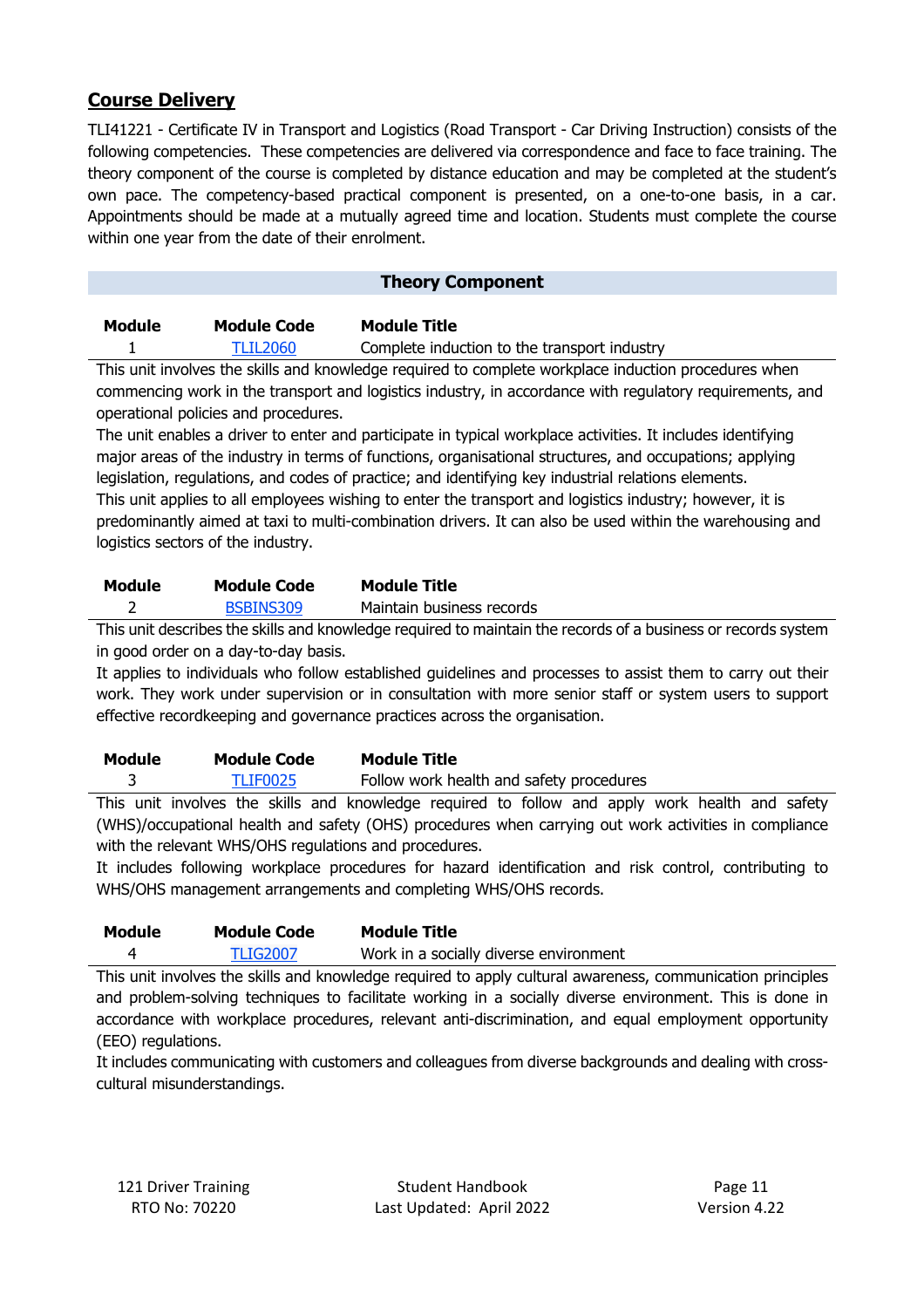# **Course Delivery**

TLI41221 - Certificate IV in Transport and Logistics (Road Transport - Car Driving Instruction) consists of the following competencies. These competencies are delivered via correspondence and face to face training. The theory component of the course is completed by distance education and may be completed at the student's own pace. The competency-based practical component is presented, on a one-to-one basis, in a car. Appointments should be made at a mutually agreed time and location. Students must complete the course within one year from the date of their enrolment.

## **Theory Component**

| Module | <b>Module Code</b> | <b>Module Title</b>                          |
|--------|--------------------|----------------------------------------------|
|        | TLIL2060           | Complete induction to the transport industry |

This unit involves the skills and knowledge required to complete workplace induction procedures when commencing work in the transport and logistics industry, in accordance with regulatory requirements, and operational policies and procedures.

The unit enables a driver to enter and participate in typical workplace activities. It includes identifying major areas of the industry in terms of functions, organisational structures, and occupations; applying legislation, regulations, and codes of practice; and identifying key industrial relations elements. This unit applies to all employees wishing to enter the transport and logistics industry; however, it is predominantly aimed at taxi to multi-combination drivers. It can also be used within the warehousing and

logistics sectors of the industry.

| Module | <b>Module Code</b> | <b>Module Title</b>       |
|--------|--------------------|---------------------------|
|        | BSBINS309          | Maintain business records |

This unit describes the skills and knowledge required to maintain the records of a business or records system in good order on a day-to-day basis.

It applies to individuals who follow established guidelines and processes to assist them to carry out their work. They work under supervision or in consultation with more senior staff or system users to support effective recordkeeping and governance practices across the organisation.

| Module | <b>Module Code</b> | <b>Module Title</b>                      |
|--------|--------------------|------------------------------------------|
|        | TLIF0025           | Follow work health and safety procedures |

This unit involves the skills and knowledge required to follow and apply work health and safety (WHS)/occupational health and safety (OHS) procedures when carrying out work activities in compliance with the relevant WHS/OHS regulations and procedures.

It includes following workplace procedures for hazard identification and risk control, contributing to WHS/OHS management arrangements and completing WHS/OHS records.

| Module | <b>Module Code</b> | <b>Module Title</b>                    |
|--------|--------------------|----------------------------------------|
|        | <b>TLIG2007</b>    | Work in a socially diverse environment |

This unit involves the skills and knowledge required to apply cultural awareness, communication principles and problem-solving techniques to facilitate working in a socially diverse environment. This is done in accordance with workplace procedures, relevant anti-discrimination, and equal employment opportunity (EEO) regulations.

It includes communicating with customers and colleagues from diverse backgrounds and dealing with crosscultural misunderstandings.

121 Driver Training Table 8. Student Handbook Page 11 RTO No: 70220 Last Updated: April 2022 Version 4.22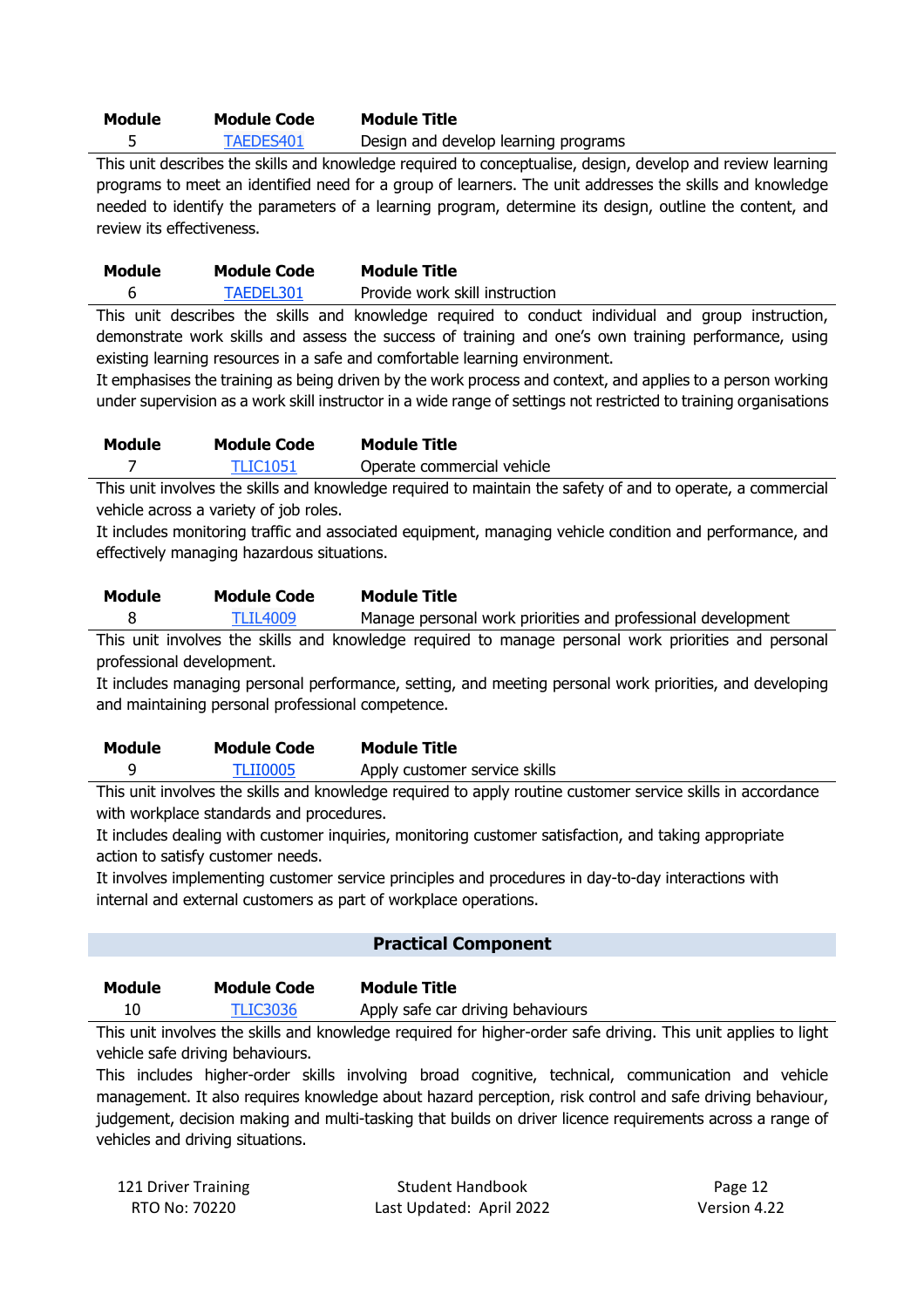# **Module Module Code Module Title**

5 TAEDES401 Design and develop learning programs

This unit describes the skills and knowledge required to conceptualise, design, develop and review learning programs to meet an identified need for a group of learners. The unit addresses the skills and knowledge needed to identify the parameters of a learning program, determine its design, outline the content, and review its effectiveness.

| Module | <b>Module Code</b> | <b>Module Title</b>            |
|--------|--------------------|--------------------------------|
|        | TAEDEL301          | Provide work skill instruction |

This unit describes the skills and knowledge required to conduct individual and group instruction, demonstrate work skills and assess the success of training and one's own training performance, using existing learning resources in a safe and comfortable learning environment.

It emphasises the training as being driven by the work process and context, and applies to a person working under supervision as a work skill instructor in a wide range of settings not restricted to training organisations

| Module | <b>Module Code</b> | <b>Module Title</b>        |
|--------|--------------------|----------------------------|
|        | TLIC1051           | Operate commercial vehicle |

This unit involves the skills and knowledge required to maintain the safety of and to operate, a commercial vehicle across a variety of job roles.

It includes monitoring traffic and associated equipment, managing vehicle condition and performance, and effectively managing hazardous situations.

| Module | <b>Module Code</b> | Module Title                                                 |
|--------|--------------------|--------------------------------------------------------------|
|        | <b>TLIL4009</b>    | Manage personal work priorities and professional development |

This unit involves the skills and knowledge required to manage personal work priorities and personal professional development.

It includes managing personal performance, setting, and meeting personal work priorities, and developing and maintaining personal professional competence.

| Module | <b>Module Code</b> | <b>Module Title</b>           |
|--------|--------------------|-------------------------------|
|        | TLII0005           | Apply customer service skills |

This unit involves the skills and knowledge required to apply routine customer service skills in accordance with workplace standards and procedures.

It includes dealing with customer inquiries, monitoring customer satisfaction, and taking appropriate action to satisfy customer needs.

It involves implementing customer service principles and procedures in day-to-day interactions with internal and external customers as part of workplace operations.

## **Practical Component**

| Module | <b>Module Code</b> | <b>Module Title</b>               |
|--------|--------------------|-----------------------------------|
| 10     | <b>TLIC3036</b>    | Apply safe car driving behaviours |

This unit involves the skills and knowledge required for higher-order safe driving. This unit applies to light vehicle safe driving behaviours.

This includes higher-order skills involving broad cognitive, technical, communication and vehicle management. It also requires knowledge about hazard perception, risk control and safe driving behaviour, judgement, decision making and multi-tasking that builds on driver licence requirements across a range of vehicles and driving situations.

| 121 Driver Training | <b>Student Handbook</b>  | Page 12      |
|---------------------|--------------------------|--------------|
| RTO No: 70220       | Last Updated: April 2022 | Version 4.22 |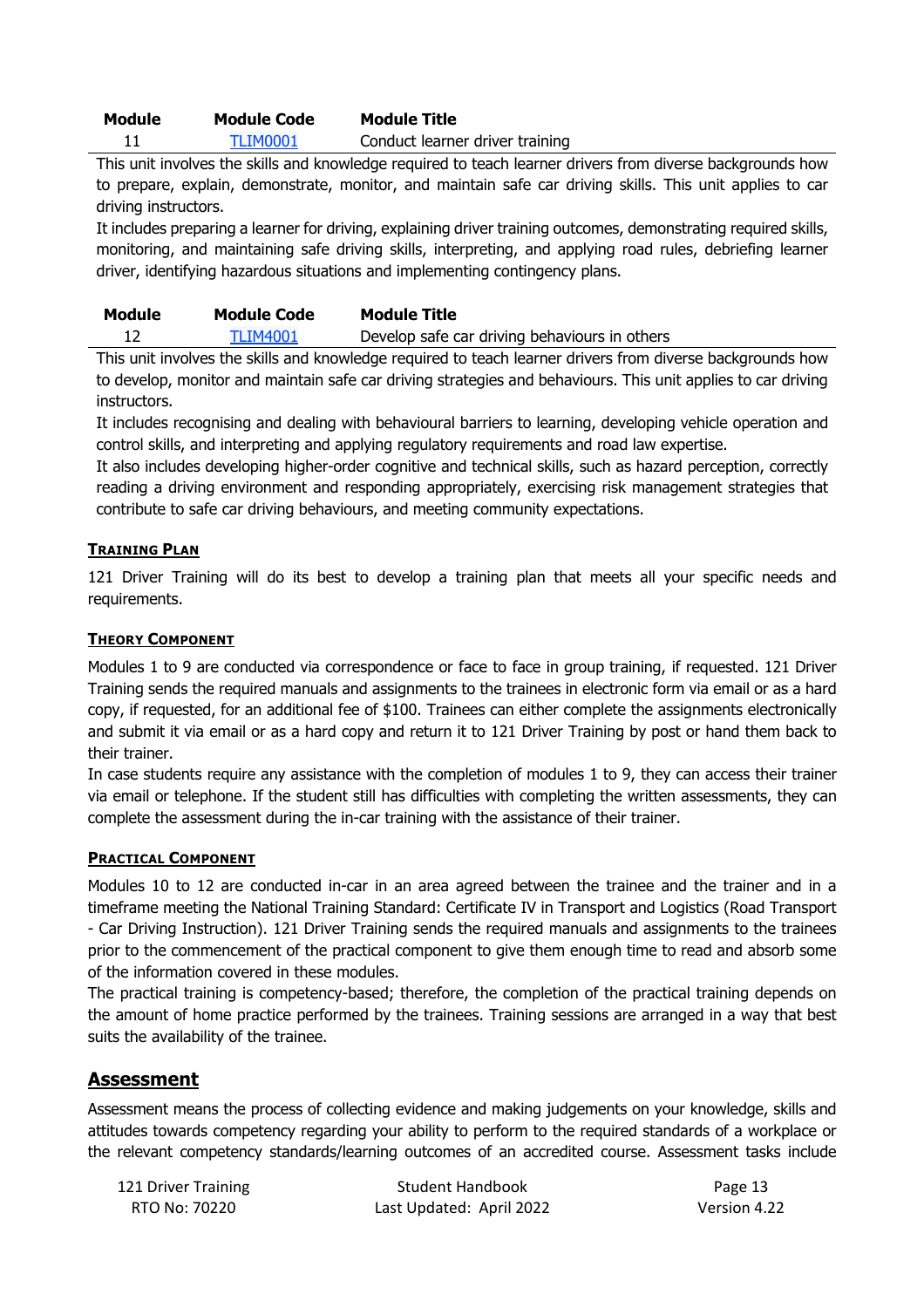| Module | <b>Module Code</b> | <b>Module Title</b> |
|--------|--------------------|---------------------|
|        | -----------        |                     |

11 TLIM0001 Conduct learner driver training

This unit involves the skills and knowledge required to teach learner drivers from diverse backgrounds how to prepare, explain, demonstrate, monitor, and maintain safe car driving skills. This unit applies to car driving instructors.

It includes preparing a learner for driving, explaining driver training outcomes, demonstrating required skills, monitoring, and maintaining safe driving skills, interpreting, and applying road rules, debriefing learner driver, identifying hazardous situations and implementing contingency plans.

| Module | <b>Module Code</b> | <b>Module Title</b>                           |
|--------|--------------------|-----------------------------------------------|
|        | <b>TLIM4001</b>    | Develop safe car driving behaviours in others |

This unit involves the skills and knowledge required to teach learner drivers from diverse backgrounds how to develop, monitor and maintain safe car driving strategies and behaviours. This unit applies to car driving instructors.

It includes recognising and dealing with behavioural barriers to learning, developing vehicle operation and control skills, and interpreting and applying regulatory requirements and road law expertise.

It also includes developing higher-order cognitive and technical skills, such as hazard perception, correctly reading a driving environment and responding appropriately, exercising risk management strategies that contribute to safe car driving behaviours, and meeting community expectations.

## **TRAINING PLAN**

121 Driver Training will do its best to develop a training plan that meets all your specific needs and requirements.

## **THEORY COMPONENT**

Modules 1 to 9 are conducted via correspondence or face to face in group training, if requested. 121 Driver Training sends the required manuals and assignments to the trainees in electronic form via email or as a hard copy, if requested, for an additional fee of \$100. Trainees can either complete the assignments electronically and submit it via email or as a hard copy and return it to 121 Driver Training by post or hand them back to their trainer.

In case students require any assistance with the completion of modules 1 to 9, they can access their trainer via email or telephone. If the student still has difficulties with completing the written assessments, they can complete the assessment during the in-car training with the assistance of their trainer.

## **PRACTICAL COMPONENT**

Modules 10 to 12 are conducted in-car in an area agreed between the trainee and the trainer and in a timeframe meeting the National Training Standard: Certificate IV in Transport and Logistics (Road Transport - Car Driving Instruction). 121 Driver Training sends the required manuals and assignments to the trainees prior to the commencement of the practical component to give them enough time to read and absorb some of the information covered in these modules.

The practical training is competency-based; therefore, the completion of the practical training depends on the amount of home practice performed by the trainees. Training sessions are arranged in a way that best suits the availability of the trainee.

## **Assessment**

Assessment means the process of collecting evidence and making judgements on your knowledge, skills and attitudes towards competency regarding your ability to perform to the required standards of a workplace or the relevant competency standards/learning outcomes of an accredited course. Assessment tasks include

| 121 Driver Training | <b>Student Handbook</b>  | Page 13      |
|---------------------|--------------------------|--------------|
| RTO No: 70220       | Last Updated: April 2022 | Version 4.22 |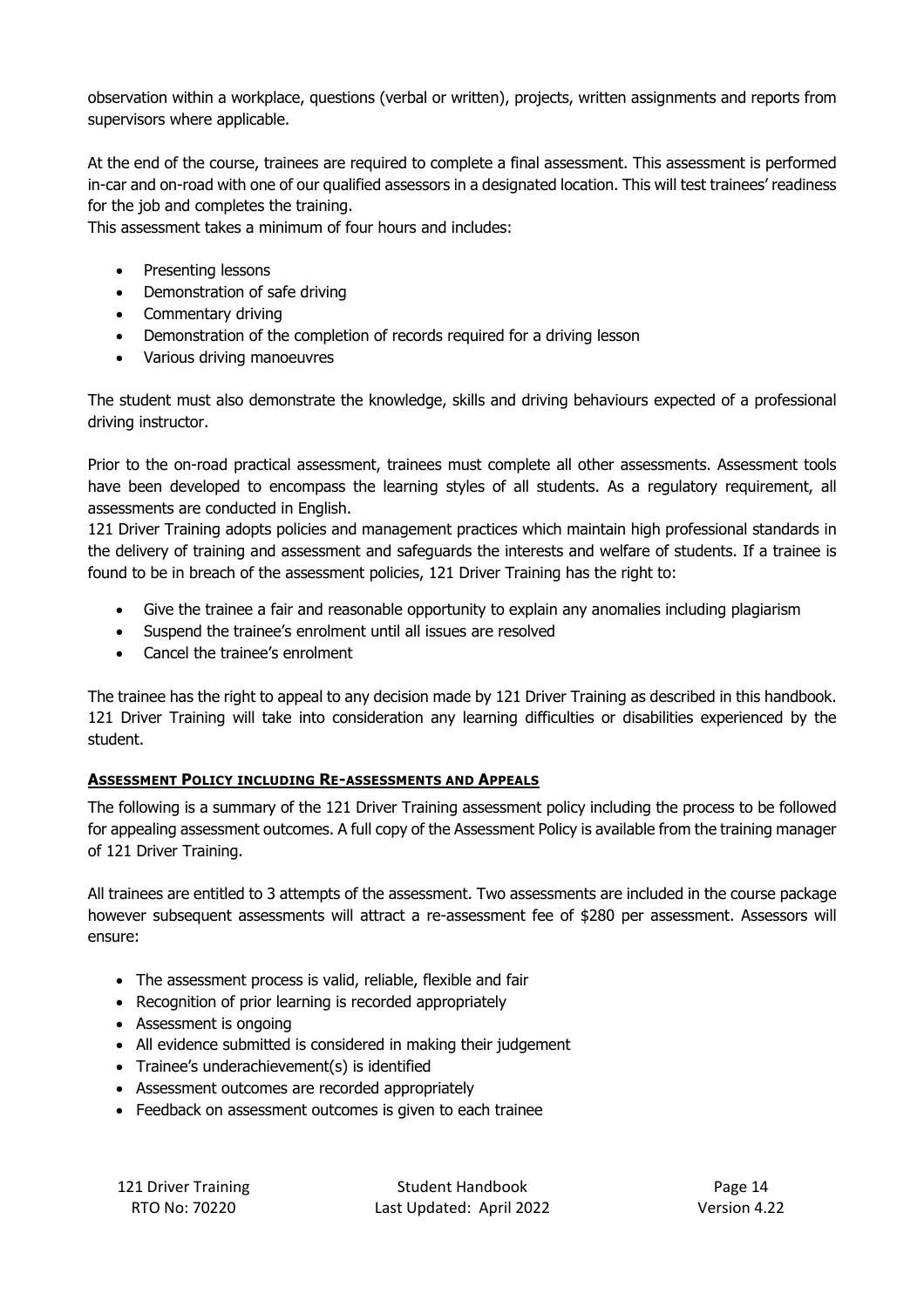observation within a workplace, questions (verbal or written), projects, written assignments and reports from supervisors where applicable.

At the end of the course, trainees are required to complete a final assessment. This assessment is performed in-car and on-road with one of our qualified assessors in a designated location. This will test trainees' readiness for the job and completes the training.

This assessment takes a minimum of four hours and includes:

- Presenting lessons
- Demonstration of safe driving
- Commentary driving
- Demonstration of the completion of records required for a driving lesson
- Various driving manoeuvres

The student must also demonstrate the knowledge, skills and driving behaviours expected of a professional driving instructor.

Prior to the on-road practical assessment, trainees must complete all other assessments. Assessment tools have been developed to encompass the learning styles of all students. As a regulatory requirement, all assessments are conducted in English.

121 Driver Training adopts policies and management practices which maintain high professional standards in the delivery of training and assessment and safeguards the interests and welfare of students. If a trainee is found to be in breach of the assessment policies, 121 Driver Training has the right to:

- Give the trainee a fair and reasonable opportunity to explain any anomalies including plagiarism
- Suspend the trainee's enrolment until all issues are resolved
- Cancel the trainee's enrolment

The trainee has the right to appeal to any decision made by 121 Driver Training as described in this handbook. 121 Driver Training will take into consideration any learning difficulties or disabilities experienced by the student.

## **ASSESSMENT POLICY INCLUDING RE-ASSESSMENTS AND APPEALS**

The following is a summary of the 121 Driver Training assessment policy including the process to be followed for appealing assessment outcomes. A full copy of the Assessment Policy is available from the training manager of 121 Driver Training.

All trainees are entitled to 3 attempts of the assessment. Two assessments are included in the course package however subsequent assessments will attract a re-assessment fee of \$280 per assessment. Assessors will ensure:

- The assessment process is valid, reliable, flexible and fair
- Recognition of prior learning is recorded appropriately
- Assessment is ongoing
- All evidence submitted is considered in making their judgement
- Trainee's underachievement(s) is identified
- Assessment outcomes are recorded appropriately
- Feedback on assessment outcomes is given to each trainee

121 Driver Training Table 8. Student Handbook Page 14 RTO No: 70220 Last Updated: April 2022 Version 4.22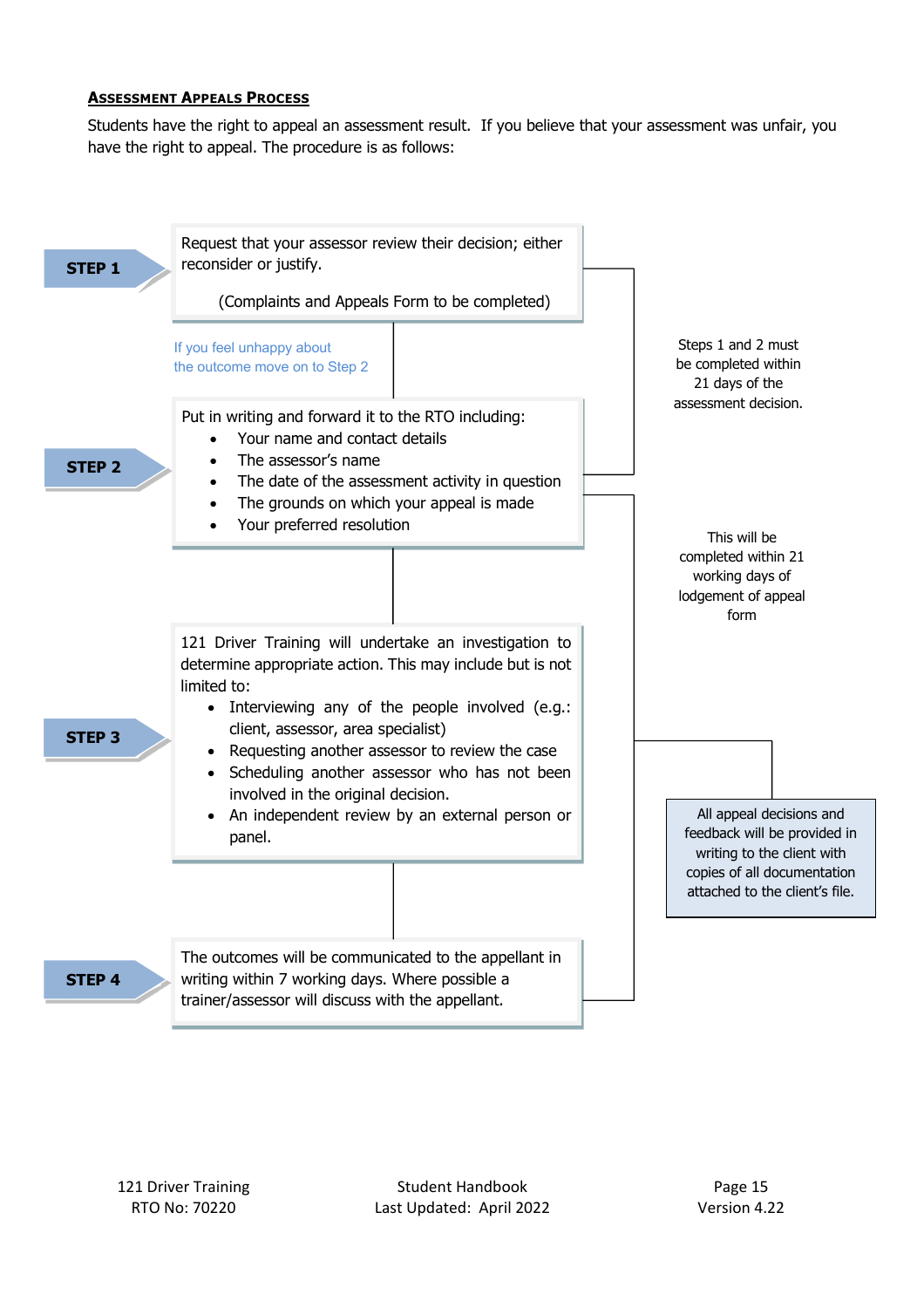#### **ASSESSMENT APPEALS PROCESS**

Students have the right to appeal an assessment result. If you believe that your assessment was unfair, you have the right to appeal. The procedure is as follows:

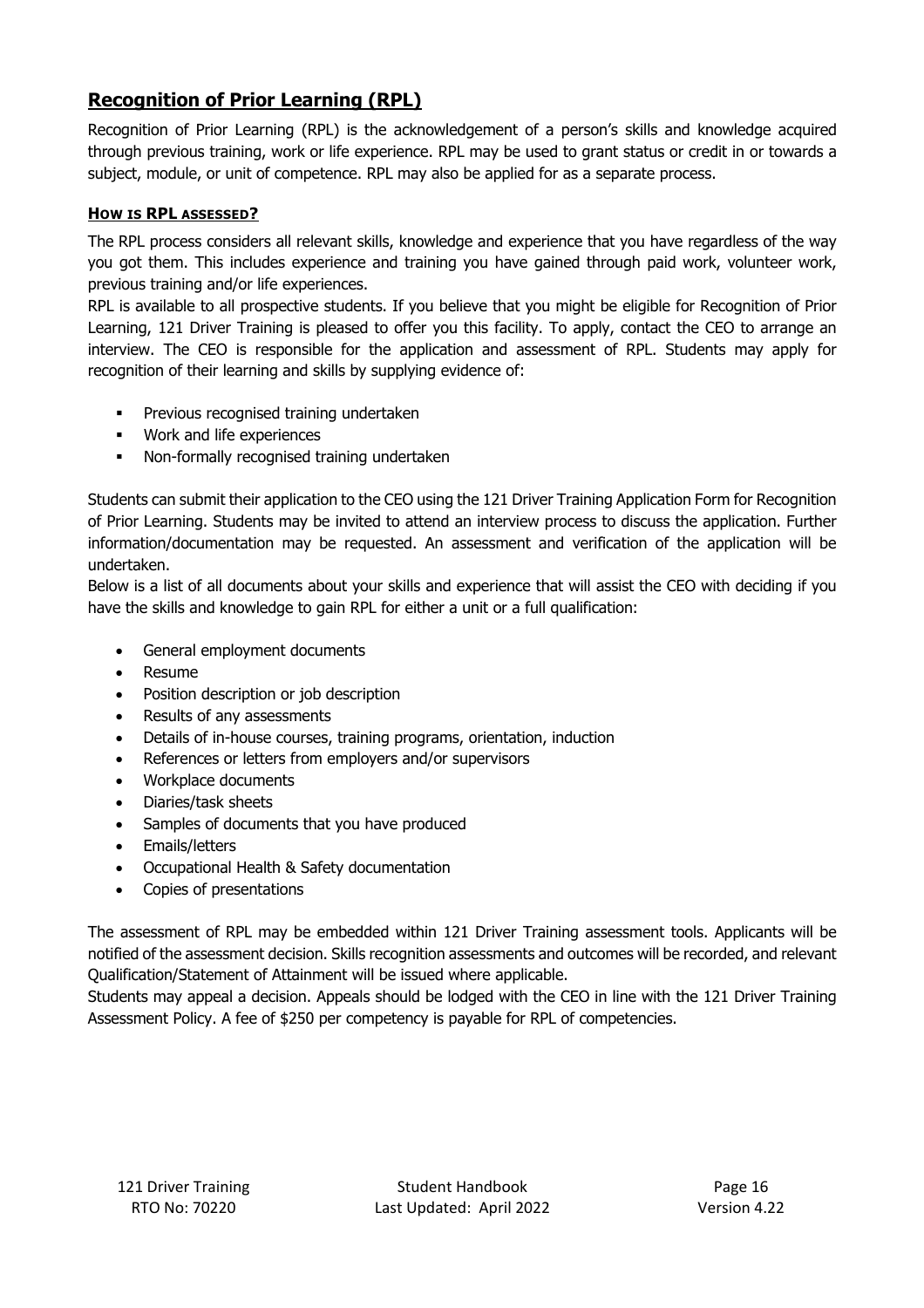# **Recognition of Prior Learning (RPL)**

Recognition of Prior Learning (RPL) is the acknowledgement of a person's skills and knowledge acquired through previous training, work or life experience. RPL may be used to grant status or credit in or towards a subject, module, or unit of competence. RPL may also be applied for as a separate process.

## **HOW IS RPL ASSESSED?**

The RPL process considers all relevant skills, knowledge and experience that you have regardless of the way you got them. This includes experience and training you have gained through paid work, volunteer work, previous training and/or life experiences.

RPL is available to all prospective students. If you believe that you might be eligible for Recognition of Prior Learning, 121 Driver Training is pleased to offer you this facility. To apply, contact the CEO to arrange an interview. The CEO is responsible for the application and assessment of RPL. Students may apply for recognition of their learning and skills by supplying evidence of:

- § Previous recognised training undertaken
- § Work and life experiences
- Non-formally recognised training undertaken

Students can submit their application to the CEO using the 121 Driver Training Application Form for Recognition of Prior Learning. Students may be invited to attend an interview process to discuss the application. Further information/documentation may be requested. An assessment and verification of the application will be undertaken.

Below is a list of all documents about your skills and experience that will assist the CEO with deciding if you have the skills and knowledge to gain RPL for either a unit or a full qualification:

- General employment documents
- Resume
- Position description or job description
- Results of any assessments
- Details of in-house courses, training programs, orientation, induction
- References or letters from employers and/or supervisors
- Workplace documents
- Diaries/task sheets
- Samples of documents that you have produced
- Emails/letters
- Occupational Health & Safety documentation
- Copies of presentations

The assessment of RPL may be embedded within 121 Driver Training assessment tools. Applicants will be notified of the assessment decision. Skills recognition assessments and outcomes will be recorded, and relevant Qualification/Statement of Attainment will be issued where applicable.

Students may appeal a decision. Appeals should be lodged with the CEO in line with the 121 Driver Training Assessment Policy. A fee of \$250 per competency is payable for RPL of competencies.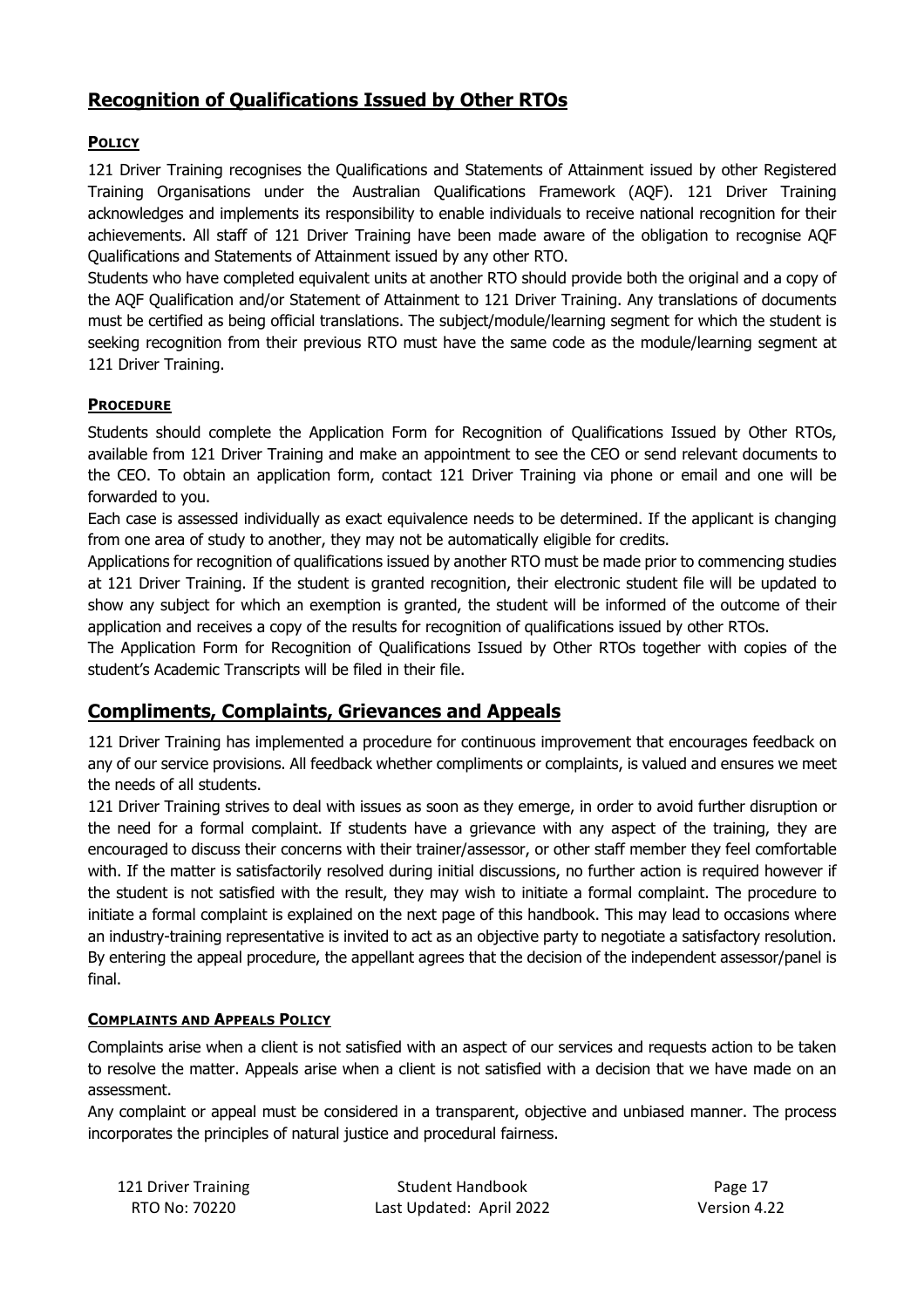# **Recognition of Qualifications Issued by Other RTOs**

## **POLICY**

121 Driver Training recognises the Qualifications and Statements of Attainment issued by other Registered Training Organisations under the Australian Qualifications Framework (AQF). 121 Driver Training acknowledges and implements its responsibility to enable individuals to receive national recognition for their achievements. All staff of 121 Driver Training have been made aware of the obligation to recognise AQF Qualifications and Statements of Attainment issued by any other RTO.

Students who have completed equivalent units at another RTO should provide both the original and a copy of the AQF Qualification and/or Statement of Attainment to 121 Driver Training. Any translations of documents must be certified as being official translations. The subject/module/learning segment for which the student is seeking recognition from their previous RTO must have the same code as the module/learning segment at 121 Driver Training.

## **PROCEDURE**

Students should complete the Application Form for Recognition of Qualifications Issued by Other RTOs, available from 121 Driver Training and make an appointment to see the CEO or send relevant documents to the CEO. To obtain an application form, contact 121 Driver Training via phone or email and one will be forwarded to you.

Each case is assessed individually as exact equivalence needs to be determined. If the applicant is changing from one area of study to another, they may not be automatically eligible for credits.

Applications for recognition of qualifications issued by another RTO must be made prior to commencing studies at 121 Driver Training. If the student is granted recognition, their electronic student file will be updated to show any subject for which an exemption is granted, the student will be informed of the outcome of their application and receives a copy of the results for recognition of qualifications issued by other RTOs.

The Application Form for Recognition of Qualifications Issued by Other RTOs together with copies of the student's Academic Transcripts will be filed in their file.

# **Compliments, Complaints, Grievances and Appeals**

121 Driver Training has implemented a procedure for continuous improvement that encourages feedback on any of our service provisions. All feedback whether compliments or complaints, is valued and ensures we meet the needs of all students.

121 Driver Training strives to deal with issues as soon as they emerge, in order to avoid further disruption or the need for a formal complaint. If students have a grievance with any aspect of the training, they are encouraged to discuss their concerns with their trainer/assessor, or other staff member they feel comfortable with. If the matter is satisfactorily resolved during initial discussions, no further action is required however if the student is not satisfied with the result, they may wish to initiate a formal complaint. The procedure to initiate a formal complaint is explained on the next page of this handbook. This may lead to occasions where an industry-training representative is invited to act as an objective party to negotiate a satisfactory resolution. By entering the appeal procedure, the appellant agrees that the decision of the independent assessor/panel is final.

## **COMPLAINTS AND APPEALS POLICY**

Complaints arise when a client is not satisfied with an aspect of our services and requests action to be taken to resolve the matter. Appeals arise when a client is not satisfied with a decision that we have made on an assessment.

Any complaint or appeal must be considered in a transparent, objective and unbiased manner. The process incorporates the principles of natural justice and procedural fairness.

| 121 Driver Training | <b>Student Handbook</b>  | Page 17      |
|---------------------|--------------------------|--------------|
| RTO No: 70220       | Last Updated: April 2022 | Version 4.22 |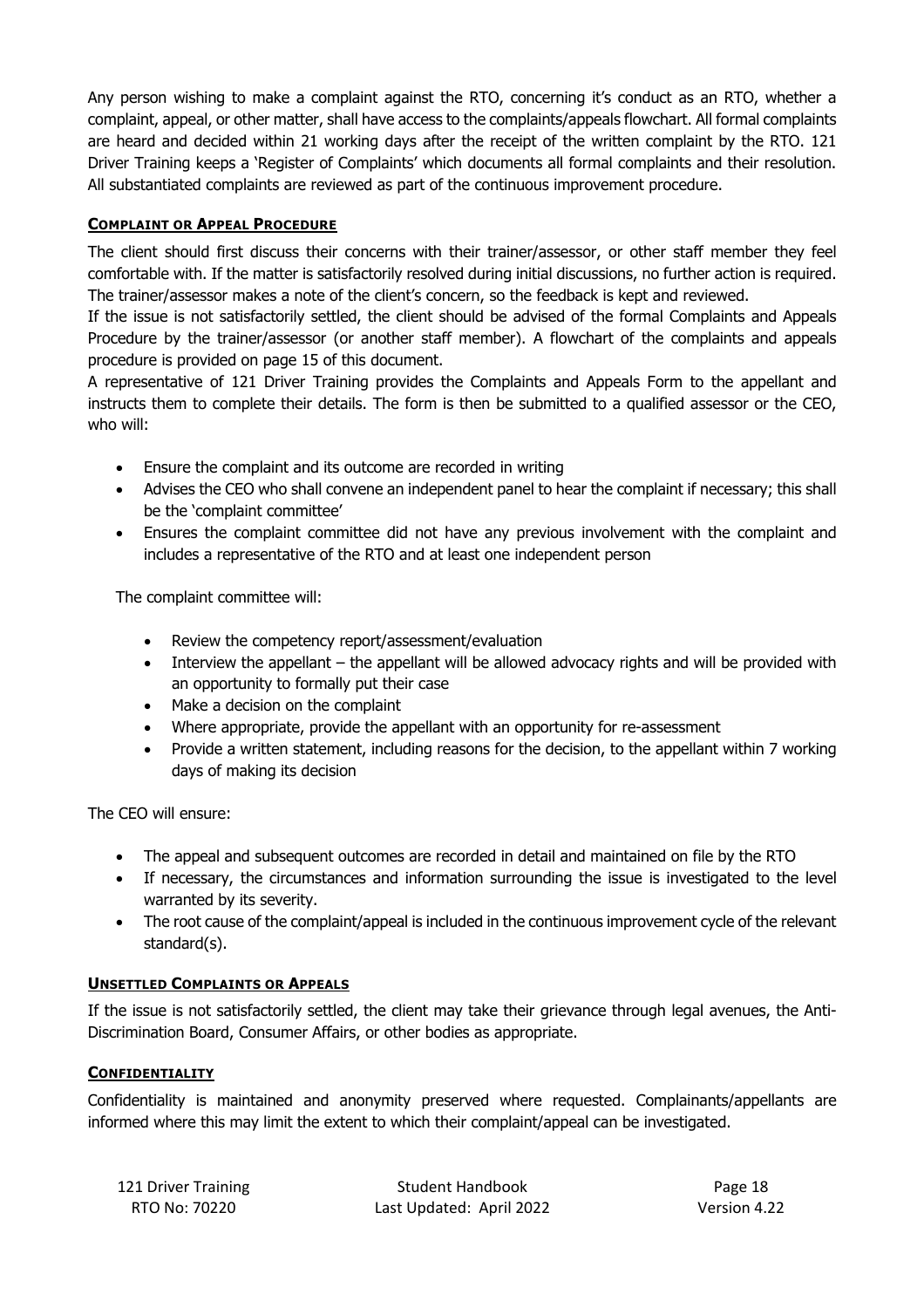Any person wishing to make a complaint against the RTO, concerning it's conduct as an RTO, whether a complaint, appeal, or other matter, shall have access to the complaints/appeals flowchart. All formal complaints are heard and decided within 21 working days after the receipt of the written complaint by the RTO. 121 Driver Training keeps a 'Register of Complaints' which documents all formal complaints and their resolution. All substantiated complaints are reviewed as part of the continuous improvement procedure.

## **COMPLAINT OR APPEAL PROCEDURE**

The client should first discuss their concerns with their trainer/assessor, or other staff member they feel comfortable with. If the matter is satisfactorily resolved during initial discussions, no further action is required. The trainer/assessor makes a note of the client's concern, so the feedback is kept and reviewed.

If the issue is not satisfactorily settled, the client should be advised of the formal Complaints and Appeals Procedure by the trainer/assessor (or another staff member). A flowchart of the complaints and appeals procedure is provided on page 15 of this document.

A representative of 121 Driver Training provides the Complaints and Appeals Form to the appellant and instructs them to complete their details. The form is then be submitted to a qualified assessor or the CEO, who will:

- Ensure the complaint and its outcome are recorded in writing
- Advises the CEO who shall convene an independent panel to hear the complaint if necessary; this shall be the 'complaint committee'
- Ensures the complaint committee did not have any previous involvement with the complaint and includes a representative of the RTO and at least one independent person

The complaint committee will:

- Review the competency report/assessment/evaluation
- Interview the appellant the appellant will be allowed advocacy rights and will be provided with an opportunity to formally put their case
- Make a decision on the complaint
- Where appropriate, provide the appellant with an opportunity for re-assessment
- Provide a written statement, including reasons for the decision, to the appellant within 7 working days of making its decision

The CEO will ensure:

- The appeal and subsequent outcomes are recorded in detail and maintained on file by the RTO
- If necessary, the circumstances and information surrounding the issue is investigated to the level warranted by its severity.
- The root cause of the complaint/appeal is included in the continuous improvement cycle of the relevant standard(s).

## **UNSETTLED COMPLAINTS OR APPEALS**

If the issue is not satisfactorily settled, the client may take their grievance through legal avenues, the Anti-Discrimination Board, Consumer Affairs, or other bodies as appropriate.

## **CONFIDENTIALITY**

Confidentiality is maintained and anonymity preserved where requested. Complainants/appellants are informed where this may limit the extent to which their complaint/appeal can be investigated.

| 121 Driver Training | <b>Student Handbook</b>  | Page 18      |
|---------------------|--------------------------|--------------|
| RTO No: 70220       | Last Updated: April 2022 | Version 4.22 |